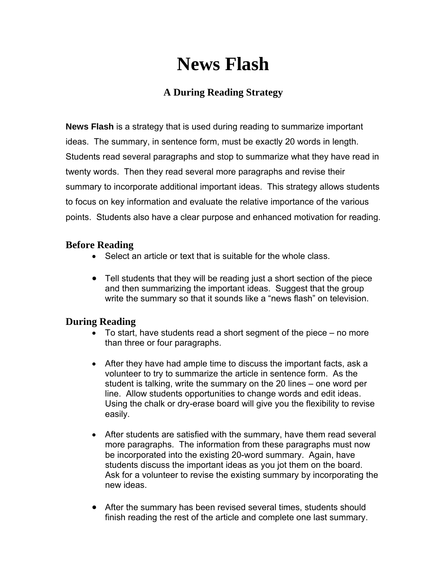## **News Flash**

### **A During Reading Strategy**

**News Flash** is a strategy that is used during reading to summarize important ideas. The summary, in sentence form, must be exactly 20 words in length. Students read several paragraphs and stop to summarize what they have read in twenty words. Then they read several more paragraphs and revise their summary to incorporate additional important ideas. This strategy allows students to focus on key information and evaluate the relative importance of the various points. Students also have a clear purpose and enhanced motivation for reading.

#### **Before Reading**

- Select an article or text that is suitable for the whole class.
- Tell students that they will be reading just a short section of the piece and then summarizing the important ideas. Suggest that the group write the summary so that it sounds like a "news flash" on television.

#### **During Reading**

- To start, have students read a short segment of the piece no more than three or four paragraphs.
- After they have had ample time to discuss the important facts, ask a volunteer to try to summarize the article in sentence form. As the student is talking, write the summary on the 20 lines – one word per line. Allow students opportunities to change words and edit ideas. Using the chalk or dry-erase board will give you the flexibility to revise easily.
- After students are satisfied with the summary, have them read several more paragraphs. The information from these paragraphs must now be incorporated into the existing 20-word summary. Again, have students discuss the important ideas as you jot them on the board. Ask for a volunteer to revise the existing summary by incorporating the new ideas.
- After the summary has been revised several times, students should finish reading the rest of the article and complete one last summary.